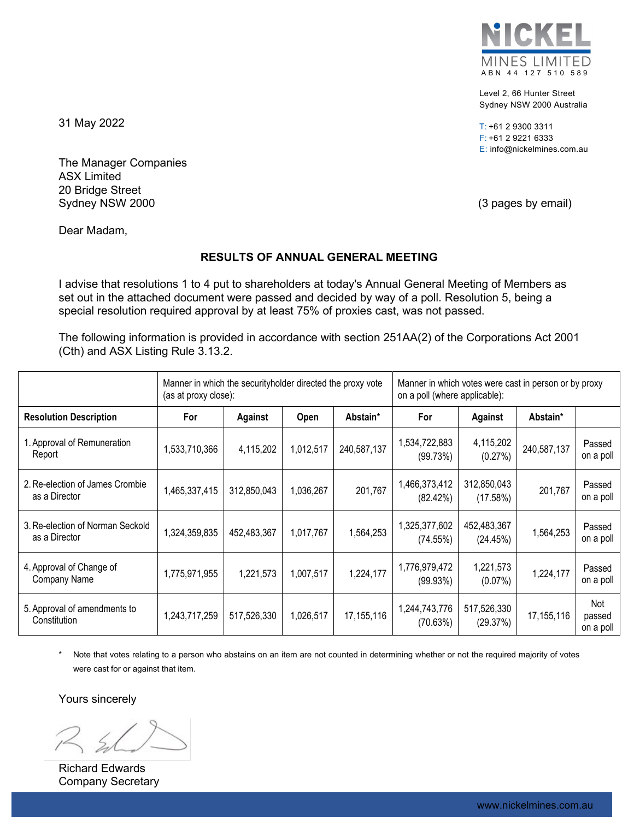

Level 2, 66 Hunter Street Sydney NSW 2000 Australia

T: +61 2 9300 3311 F: +61 2 9221 6333 E: info@nickelmines.com.au

31 May 2022

The Manager Companies ASX Limited 20 Bridge Street Sydney NSW 2000 **(3 pages by email)** Sydney NSW 2000

Dear Madam,

# **RESULTS OF ANNUAL GENERAL MEETING**

I advise that resolutions 1 to 4 put to shareholders at today's Annual General Meeting of Members as set out in the attached document were passed and decided by way of a poll. Resolution 5, being a special resolution required approval by at least 75% of proxies cast, was not passed.

The following information is provided in accordance with section 251AA(2) of the Corporations Act 2001 (Cth) and ASX Listing Rule 3.13.2.

|                                                   | Manner in which the security holder directed the proxy vote<br>(as at proxy close): |             |           |              | Manner in which votes were cast in person or by proxy<br>on a poll (where applicable): |                         |              |                            |
|---------------------------------------------------|-------------------------------------------------------------------------------------|-------------|-----------|--------------|----------------------------------------------------------------------------------------|-------------------------|--------------|----------------------------|
| <b>Resolution Description</b>                     | For                                                                                 | Against     | Open      | Abstain*     | For                                                                                    | Against                 | Abstain*     |                            |
| 1. Approval of Remuneration<br>Report             | 1,533,710,366                                                                       | 4,115,202   | 1,012,517 | 240,587,137  | 1,534,722,883<br>(99.73%)                                                              | 4,115,202<br>(0.27%)    | 240,587,137  | Passed<br>on a poll        |
| 2. Re-election of James Crombie<br>as a Director  | 1,465,337,415                                                                       | 312,850,043 | 1,036,267 | 201,767      | 1,466,373,412<br>(82.42%)                                                              | 312,850,043<br>(17.58%) | 201,767      | Passed<br>on a poll        |
| 3. Re-election of Norman Seckold<br>as a Director | 1,324,359,835                                                                       | 452,483,367 | 1,017,767 | 1,564,253    | 1,325,377,602<br>(74.55%)                                                              | 452,483,367<br>(24.45%) | 1,564,253    | Passed<br>on a poll        |
| 4. Approval of Change of<br>Company Name          | 1,775,971,955                                                                       | 1,221,573   | 1,007,517 | 1,224,177    | 1,776,979,472<br>(99.93%)                                                              | 1,221,573<br>$(0.07\%)$ | 1,224,177    | Passed<br>on a poll        |
| 5. Approval of amendments to<br>Constitution      | 1,243,717,259                                                                       | 517,526,330 | 1,026,517 | 17, 155, 116 | 1,244,743,776<br>(70.63%)                                                              | 517,526,330<br>(29.37%) | 17, 155, 116 | Not<br>passed<br>on a poll |

Note that votes relating to a person who abstains on an item are not counted in determining whether or not the required majority of votes were cast for or against that item.

Yours sincerely

Richard Edwards Company Secretary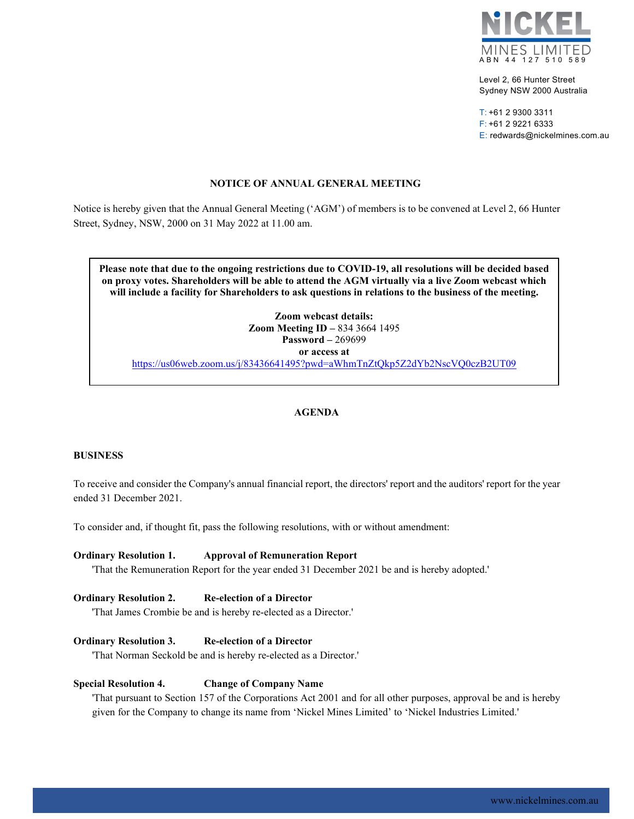

Level 2, 66 Hunter Street Sydney NSW 2000 Australia

T: +61 2 9300 3311 F: +61 2 9221 6333 E: redwards@nickelmines.com.au

## **NOTICE OF ANNUAL GENERAL MEETING**

Notice is hereby given that the Annual General Meeting ('AGM') of members is to be convened at Level 2, 66 Hunter Street, Sydney, NSW, 2000 on 31 May 2022 at 11.00 am.

**Please note that due to the ongoing restrictions due to COVID-19, all resolutions will be decided based on proxy votes. Shareholders will be able to attend the AGM virtually via a live Zoom webcast which will include a facility for Shareholders to ask questions in relations to the business of the meeting.**

**Zoom webcast details: Zoom Meeting ID –** 834 3664 1495 **Password –** 269699 **or access at** <https://us06web.zoom.us/j/83436641495?pwd=aWhmTnZtQkp5Z2dYb2NscVQ0czB2UT09>

# **AGENDA**

#### **BUSINESS**

To receive and consider the Company's annual financial report, the directors' report and the auditors' report for the year ended 31 December 2021.

To consider and, if thought fit, pass the following resolutions, with or without amendment:

#### **Ordinary Resolution 1. Approval of Remuneration Report**

'That the Remuneration Report for the year ended 31 December 2021 be and is hereby adopted.'

### **Ordinary Resolution 2. Re-election of a Director**

'That James Crombie be and is hereby re-elected as a Director.'

#### **Ordinary Resolution 3. Re-election of a Director**

'That Norman Seckold be and is hereby re-elected as a Director.'

#### **Special Resolution 4. Change of Company Name**

'That pursuant to Section 157 of the Corporations Act 2001 and for all other purposes, approval be and is hereby given for the Company to change its name from 'Nickel Mines Limited' to 'Nickel Industries Limited.'